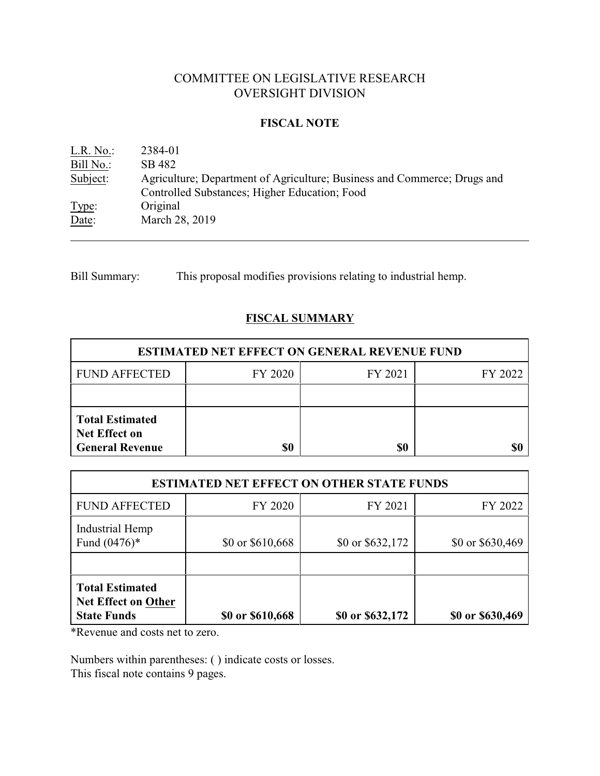# COMMITTEE ON LEGISLATIVE RESEARCH OVERSIGHT DIVISION

## **FISCAL NOTE**

| L.R. No.: | 2384-01                                                                  |
|-----------|--------------------------------------------------------------------------|
| Bill No.: | SB 482                                                                   |
| Subject:  | Agriculture; Department of Agriculture; Business and Commerce; Drugs and |
|           | Controlled Substances; Higher Education; Food                            |
| Type:     | Original                                                                 |
| Date:     | March 28, 2019                                                           |

Bill Summary: This proposal modifies provisions relating to industrial hemp.

## **FISCAL SUMMARY**

| <b>ESTIMATED NET EFFECT ON GENERAL REVENUE FUND</b>                      |         |         |         |  |  |  |
|--------------------------------------------------------------------------|---------|---------|---------|--|--|--|
| <b>FUND AFFECTED</b>                                                     | FY 2020 | FY 2021 | FY 2022 |  |  |  |
|                                                                          |         |         |         |  |  |  |
| <b>Total Estimated</b><br><b>Net Effect on</b><br><b>General Revenue</b> | \$0     | \$0     |         |  |  |  |

| <b>ESTIMATED NET EFFECT ON OTHER STATE FUNDS</b>                           |                  |                  |                  |  |  |  |  |
|----------------------------------------------------------------------------|------------------|------------------|------------------|--|--|--|--|
| <b>FUND AFFECTED</b>                                                       | FY 2020          | FY 2021          | FY 2022          |  |  |  |  |
| Industrial Hemp<br>Fund $(0476)$ <sup>*</sup>                              | \$0 or \$610,668 | \$0 or \$632,172 | \$0 or \$630,469 |  |  |  |  |
| <b>Total Estimated</b><br><b>Net Effect on Other</b><br><b>State Funds</b> | \$0 or \$610,668 | \$0 or \$632,172 | \$0 or \$630,469 |  |  |  |  |

\*Revenue and costs net to zero.

Numbers within parentheses: ( ) indicate costs or losses. This fiscal note contains 9 pages.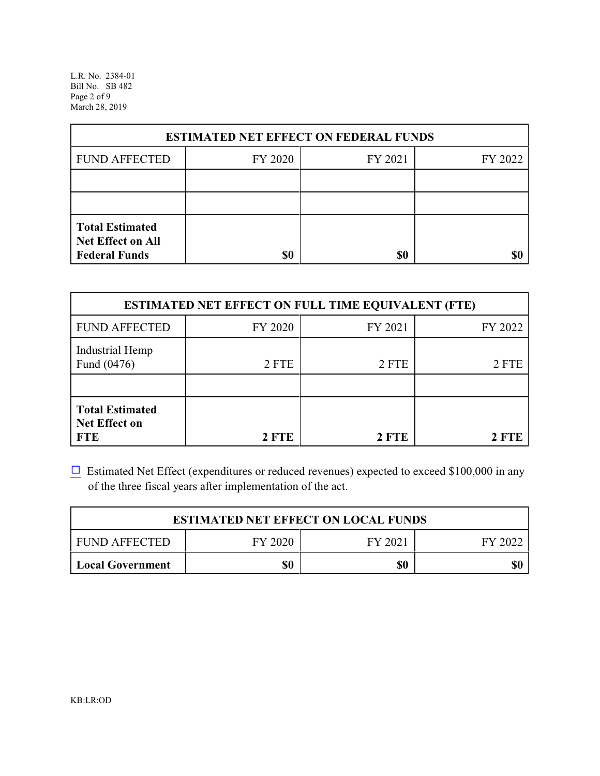L.R. No. 2384-01 Bill No. SB 482 Page 2 of 9 March 28, 2019

| <b>ESTIMATED NET EFFECT ON FEDERAL FUNDS</b>                        |         |         |         |  |  |  |  |
|---------------------------------------------------------------------|---------|---------|---------|--|--|--|--|
| <b>FUND AFFECTED</b>                                                | FY 2020 | FY 2021 | FY 2022 |  |  |  |  |
|                                                                     |         |         |         |  |  |  |  |
|                                                                     |         |         |         |  |  |  |  |
| <b>Total Estimated</b><br>Net Effect on All<br><b>Federal Funds</b> | \$0     | \$0     |         |  |  |  |  |

| <b>ESTIMATED NET EFFECT ON FULL TIME EQUIVALENT (FTE)</b>    |         |         |         |  |  |  |
|--------------------------------------------------------------|---------|---------|---------|--|--|--|
| <b>FUND AFFECTED</b>                                         | FY 2020 | FY 2021 | FY 2022 |  |  |  |
| Industrial Hemp<br>Fund (0476)                               | 2 FTE   | 2 FTE   | 2 FTE   |  |  |  |
| <b>Total Estimated</b><br><b>Net Effect on</b><br><b>FTE</b> | 2 FTE   | 2 FTE   | 2 FTE   |  |  |  |

 $\Box$  Estimated Net Effect (expenditures or reduced revenues) expected to exceed \$100,000 in any of the three fiscal years after implementation of the act.

| <b>ESTIMATED NET EFFECT ON LOCAL FUNDS</b>       |  |  |  |  |  |  |  |
|--------------------------------------------------|--|--|--|--|--|--|--|
| FY 2020<br>I FUND AFFECTED<br>FY 2021<br>FY 2022 |  |  |  |  |  |  |  |
| \$0<br>\$0<br>\$0<br>Local Government            |  |  |  |  |  |  |  |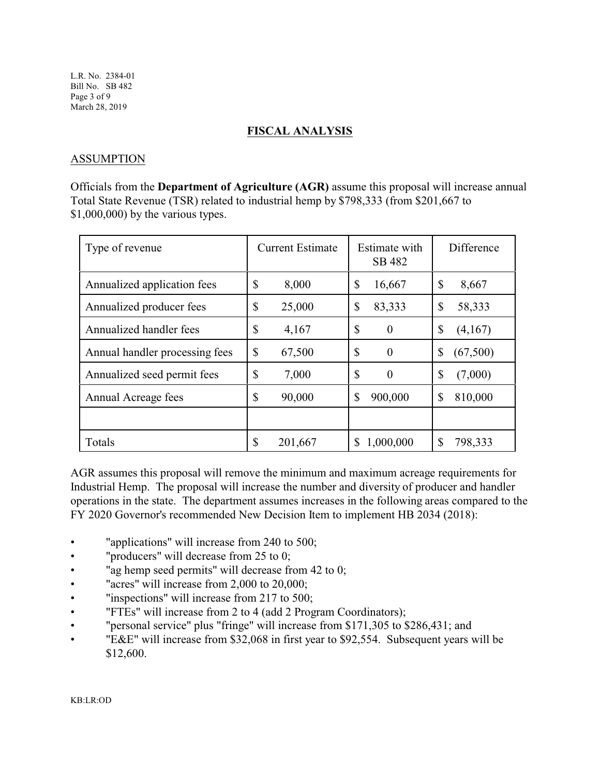#### **FISCAL ANALYSIS**

## ASSUMPTION

Officials from the **Department of Agriculture (AGR)** assume this proposal will increase annual Total State Revenue (TSR) related to industrial hemp by \$798,333 (from \$201,667 to \$1,000,000) by the various types.

| Type of revenue                | <b>Current Estimate</b> | Estimate with<br>SB 482 | Difference |
|--------------------------------|-------------------------|-------------------------|------------|
| Annualized application fees    | \$                      | \$                      | \$         |
|                                | 8,000                   | 16,667                  | 8,667      |
| Annualized producer fees       | \$                      | \$                      | \$         |
|                                | 25,000                  | 83,333                  | 58,333     |
| Annualized handler fees        | \$                      | $\mathbb{S}$            | \$         |
|                                | 4,167                   | $\theta$                | (4,167)    |
| Annual handler processing fees | \$                      | $\mathbb{S}$            | \$         |
|                                | 67,500                  | $\theta$                | (67,500)   |
| Annualized seed permit fees    | \$                      | $\mathbb{S}$            | \$         |
|                                | 7,000                   | $\overline{0}$          | (7,000)    |
| Annual Acreage fees            | \$                      | \$                      | \$         |
|                                | 90,000                  | 900,000                 | 810,000    |
|                                |                         |                         |            |
| Totals                         | \$                      | 1,000,000               | \$         |
|                                | 201,667                 | S                       | 798,333    |

AGR assumes this proposal will remove the minimum and maximum acreage requirements for Industrial Hemp. The proposal will increase the number and diversity of producer and handler operations in the state. The department assumes increases in the following areas compared to the FY 2020 Governor's recommended New Decision Item to implement HB 2034 (2018):

- "applications" will increase from 240 to 500;
- "producers" will decrease from 25 to 0;
- "ag hemp seed permits" will decrease from 42 to 0;
- "acres" will increase from 2,000 to 20,000;
- "inspections" will increase from 217 to 500;
- "FTEs" will increase from 2 to 4 (add 2 Program Coordinators);
- "personal service" plus "fringe" will increase from \$171,305 to \$286,431; and
- "E&E" will increase from \$32,068 in first year to \$92,554. Subsequent years will be \$12,600.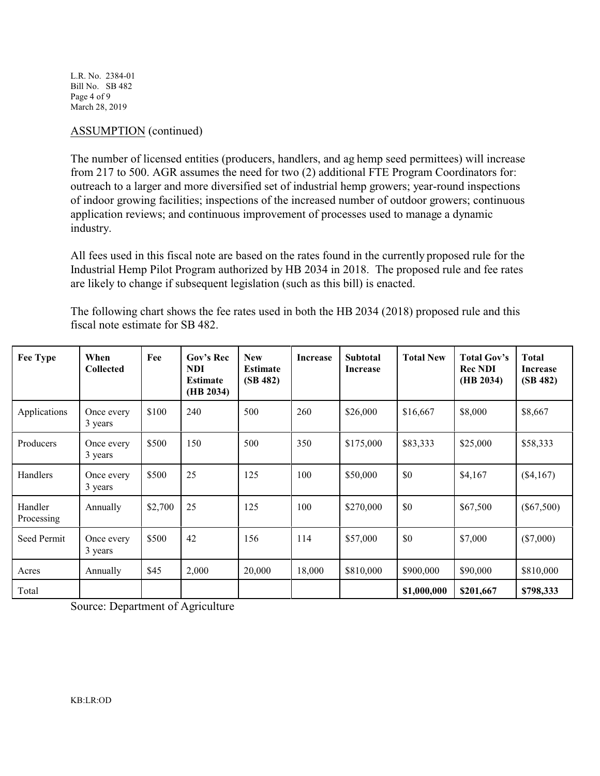L.R. No. 2384-01 Bill No. SB 482 Page 4 of 9 March 28, 2019

## ASSUMPTION (continued)

The number of licensed entities (producers, handlers, and ag hemp seed permittees) will increase from 217 to 500. AGR assumes the need for two (2) additional FTE Program Coordinators for: outreach to a larger and more diversified set of industrial hemp growers; year-round inspections of indoor growing facilities; inspections of the increased number of outdoor growers; continuous application reviews; and continuous improvement of processes used to manage a dynamic industry.

All fees used in this fiscal note are based on the rates found in the currently proposed rule for the Industrial Hemp Pilot Program authorized by HB 2034 in 2018. The proposed rule and fee rates are likely to change if subsequent legislation (such as this bill) is enacted.

| <b>Fee Type</b>       | When<br><b>Collected</b> | Fee     | Gov's Rec<br><b>NDI</b><br><b>Estimate</b><br>(HB 2034) | <b>New</b><br><b>Estimate</b><br>(SB 482) | <b>Increase</b> | <b>Subtotal</b><br><b>Increase</b> | <b>Total New</b> | <b>Total Gov's</b><br><b>Rec NDI</b><br>(HB 2034) | <b>Total</b><br>Increase<br>(SB 482) |
|-----------------------|--------------------------|---------|---------------------------------------------------------|-------------------------------------------|-----------------|------------------------------------|------------------|---------------------------------------------------|--------------------------------------|
| Applications          | Once every<br>3 years    | \$100   | 240                                                     | 500                                       | 260             | \$26,000                           | \$16,667         | \$8,000                                           | \$8,667                              |
| Producers             | Once every<br>3 years    | \$500   | 150                                                     | 500                                       | 350             | \$175,000                          | \$83,333         | \$25,000                                          | \$58,333                             |
| Handlers              | Once every<br>3 years    | \$500   | 25                                                      | 125                                       | 100             | \$50,000                           | \$0              | \$4,167                                           | $(\$4,167)$                          |
| Handler<br>Processing | Annually                 | \$2,700 | 25                                                      | 125                                       | 100             | \$270,000                          | \$0              | \$67,500                                          | $(\$67,500)$                         |
| Seed Permit           | Once every<br>3 years    | \$500   | 42                                                      | 156                                       | 114             | \$57,000                           | \$0              | \$7,000                                           | $(\$7,000)$                          |
| Acres                 | Annually                 | \$45    | 2,000                                                   | 20,000                                    | 18,000          | \$810,000                          | \$900,000        | \$90,000                                          | \$810,000                            |
| Total                 |                          |         |                                                         |                                           |                 |                                    | \$1,000,000      | \$201,667                                         | \$798,333                            |

The following chart shows the fee rates used in both the HB 2034 (2018) proposed rule and this fiscal note estimate for SB 482.

Source: Department of Agriculture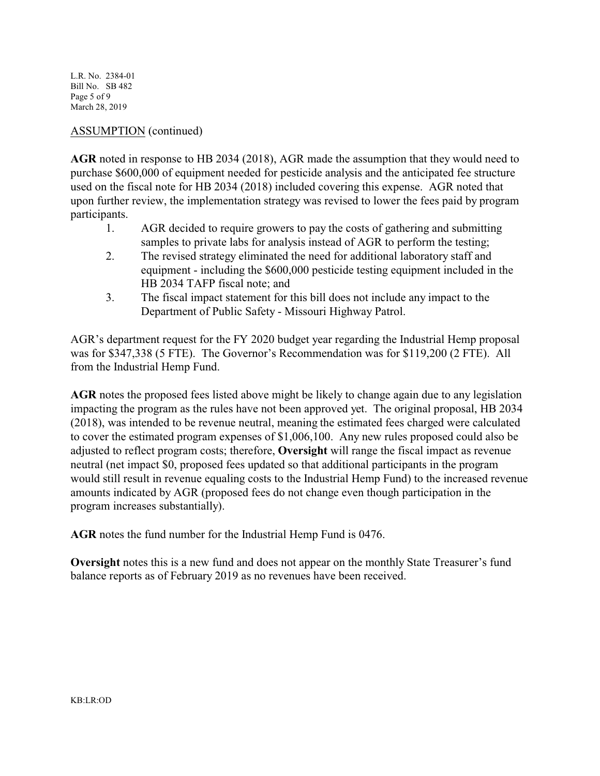L.R. No. 2384-01 Bill No. SB 482 Page 5 of 9 March 28, 2019

## ASSUMPTION (continued)

**AGR** noted in response to HB 2034 (2018), AGR made the assumption that they would need to purchase \$600,000 of equipment needed for pesticide analysis and the anticipated fee structure used on the fiscal note for HB 2034 (2018) included covering this expense. AGR noted that upon further review, the implementation strategy was revised to lower the fees paid by program participants.

- 1. AGR decided to require growers to pay the costs of gathering and submitting samples to private labs for analysis instead of AGR to perform the testing;
- 2. The revised strategy eliminated the need for additional laboratory staff and equipment - including the \$600,000 pesticide testing equipment included in the HB 2034 TAFP fiscal note; and
- 3. The fiscal impact statement for this bill does not include any impact to the Department of Public Safety - Missouri Highway Patrol.

AGR's department request for the FY 2020 budget year regarding the Industrial Hemp proposal was for \$347,338 (5 FTE). The Governor's Recommendation was for \$119,200 (2 FTE). All from the Industrial Hemp Fund.

**AGR** notes the proposed fees listed above might be likely to change again due to any legislation impacting the program as the rules have not been approved yet. The original proposal, HB 2034 (2018), was intended to be revenue neutral, meaning the estimated fees charged were calculated to cover the estimated program expenses of \$1,006,100. Any new rules proposed could also be adjusted to reflect program costs; therefore, **Oversight** will range the fiscal impact as revenue neutral (net impact \$0, proposed fees updated so that additional participants in the program would still result in revenue equaling costs to the Industrial Hemp Fund) to the increased revenue amounts indicated by AGR (proposed fees do not change even though participation in the program increases substantially).

**AGR** notes the fund number for the Industrial Hemp Fund is 0476.

**Oversight** notes this is a new fund and does not appear on the monthly State Treasurer's fund balance reports as of February 2019 as no revenues have been received.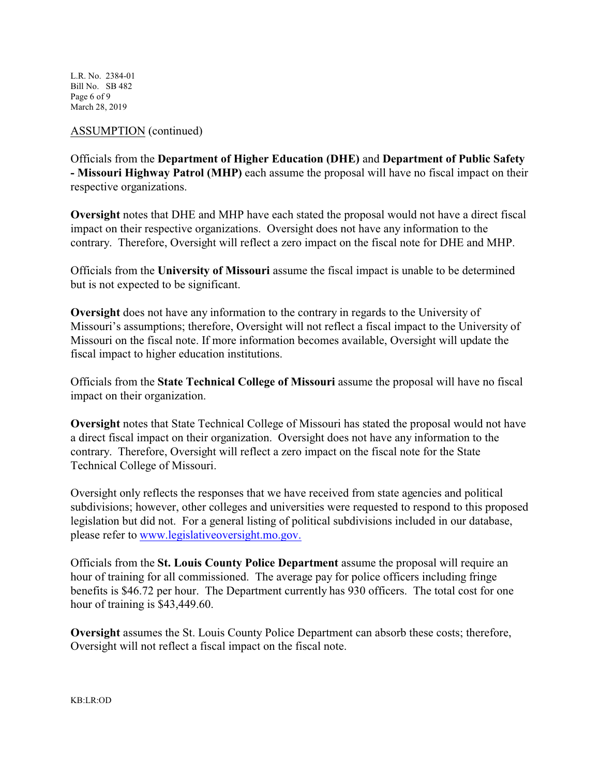L.R. No. 2384-01 Bill No. SB 482 Page 6 of 9 March 28, 2019

#### ASSUMPTION (continued)

Officials from the **Department of Higher Education (DHE)** and **Department of Public Safety - Missouri Highway Patrol (MHP)** each assume the proposal will have no fiscal impact on their respective organizations.

**Oversight** notes that DHE and MHP have each stated the proposal would not have a direct fiscal impact on their respective organizations. Oversight does not have any information to the contrary. Therefore, Oversight will reflect a zero impact on the fiscal note for DHE and MHP.

Officials from the **University of Missouri** assume the fiscal impact is unable to be determined but is not expected to be significant.

**Oversight** does not have any information to the contrary in regards to the University of Missouri's assumptions; therefore, Oversight will not reflect a fiscal impact to the University of Missouri on the fiscal note. If more information becomes available, Oversight will update the fiscal impact to higher education institutions.

Officials from the **State Technical College of Missouri** assume the proposal will have no fiscal impact on their organization.

**Oversight** notes that State Technical College of Missouri has stated the proposal would not have a direct fiscal impact on their organization. Oversight does not have any information to the contrary. Therefore, Oversight will reflect a zero impact on the fiscal note for the State Technical College of Missouri.

Oversight only reflects the responses that we have received from state agencies and political subdivisions; however, other colleges and universities were requested to respond to this proposed legislation but did not. For a general listing of political subdivisions included in our database, please refer to [www.legislativeoversight.mo.gov.](http://www.legislativeoversight.mo.gov.)

Officials from the **St. Louis County Police Department** assume the proposal will require an hour of training for all commissioned. The average pay for police officers including fringe benefits is \$46.72 per hour. The Department currently has 930 officers. The total cost for one hour of training is \$43,449.60.

**Oversight** assumes the St. Louis County Police Department can absorb these costs; therefore, Oversight will not reflect a fiscal impact on the fiscal note.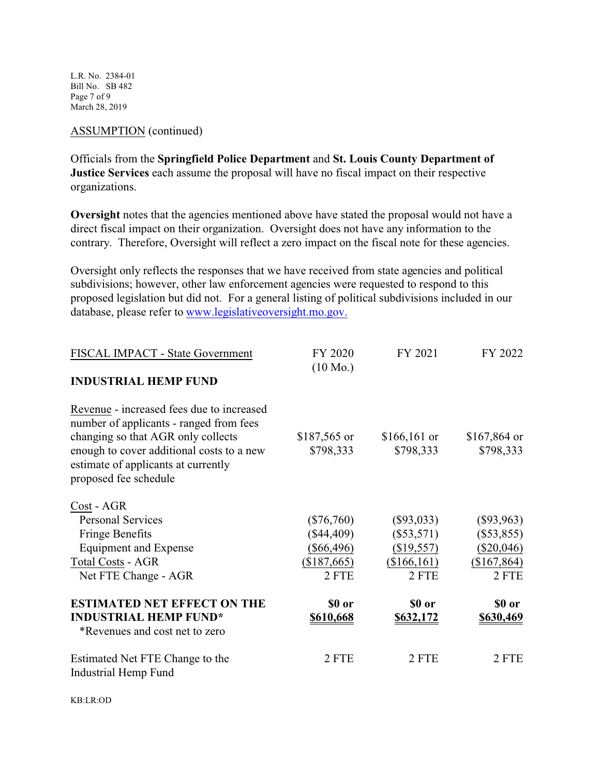L.R. No. 2384-01 Bill No. SB 482 Page 7 of 9 March 28, 2019

## ASSUMPTION (continued)

Officials from the **Springfield Police Department** and **St. Louis County Department of Justice Services** each assume the proposal will have no fiscal impact on their respective organizations.

**Oversight** notes that the agencies mentioned above have stated the proposal would not have a direct fiscal impact on their organization. Oversight does not have any information to the contrary. Therefore, Oversight will reflect a zero impact on the fiscal note for these agencies.

Oversight only reflects the responses that we have received from state agencies and political subdivisions; however, other law enforcement agencies were requested to respond to this proposed legislation but did not. For a general listing of political subdivisions included in our database, please refer to [www.legislativeoversight.mo.gov.](http://www.legislativeoversight.mo.gov.)

| FISCAL IMPACT - State Government          | FY 2020<br>$(10 \text{ Mo.})$ | FY 2021          | FY 2022       |  |
|-------------------------------------------|-------------------------------|------------------|---------------|--|
| <b>INDUSTRIAL HEMP FUND</b>               |                               |                  |               |  |
| Revenue - increased fees due to increased |                               |                  |               |  |
| number of applicants - ranged from fees   |                               |                  |               |  |
| changing so that AGR only collects        | \$187,565 or                  | $$166,161$ or    | $$167,864$ or |  |
| enough to cover additional costs to a new | \$798,333                     | \$798,333        | \$798,333     |  |
| estimate of applicants at currently       |                               |                  |               |  |
| proposed fee schedule                     |                               |                  |               |  |
| Cost - AGR                                |                               |                  |               |  |
| <b>Personal Services</b>                  | $(\$76,760)$                  | $(\$93,033)$     | $(\$93,963)$  |  |
| <b>Fringe Benefits</b>                    | $(\$44,409)$                  | $(\$53,571)$     | $(\$53,855)$  |  |
| <b>Equipment and Expense</b>              | $(\$66,496)$                  | (\$19,557)       | $(\$20,046)$  |  |
| <b>Total Costs - AGR</b>                  | (\$187,665)                   | (\$166,161)      | (\$167,864)   |  |
| Net FTE Change - AGR                      | 2 FTE                         | 2 FTE            | 2 FTE         |  |
| <b>ESTIMATED NET EFFECT ON THE</b>        | \$0 or                        | \$0 or           | \$0 or        |  |
| <b>INDUSTRIAL HEMP FUND*</b>              | \$610,668                     | <u>\$632,172</u> | \$630,469     |  |
| *Revenues and cost net to zero            |                               |                  |               |  |
| Estimated Net FTE Change to the           | 2 FTE                         | 2 FTE            | 2 FTE         |  |
| Industrial Hemp Fund                      |                               |                  |               |  |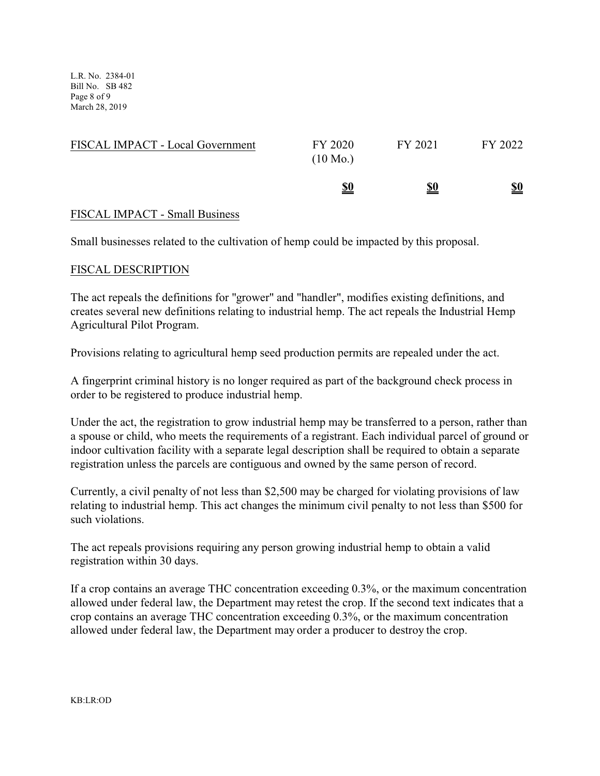L.R. No. 2384-01 Bill No. SB 482 Page 8 of 9 March 28, 2019

| FISCAL IMPACT - Local Government | FY 2020<br>$(10 \text{ Mo.})$ | FY 2021    | FY 2022                       |
|----------------------------------|-------------------------------|------------|-------------------------------|
|                                  | <u>\$0</u>                    | <u>\$0</u> | $\underline{\underline{\$0}}$ |

#### FISCAL IMPACT - Small Business

Small businesses related to the cultivation of hemp could be impacted by this proposal.

#### FISCAL DESCRIPTION

The act repeals the definitions for "grower" and "handler", modifies existing definitions, and creates several new definitions relating to industrial hemp. The act repeals the Industrial Hemp Agricultural Pilot Program.

Provisions relating to agricultural hemp seed production permits are repealed under the act.

A fingerprint criminal history is no longer required as part of the background check process in order to be registered to produce industrial hemp.

Under the act, the registration to grow industrial hemp may be transferred to a person, rather than a spouse or child, who meets the requirements of a registrant. Each individual parcel of ground or indoor cultivation facility with a separate legal description shall be required to obtain a separate registration unless the parcels are contiguous and owned by the same person of record.

Currently, a civil penalty of not less than \$2,500 may be charged for violating provisions of law relating to industrial hemp. This act changes the minimum civil penalty to not less than \$500 for such violations.

The act repeals provisions requiring any person growing industrial hemp to obtain a valid registration within 30 days.

If a crop contains an average THC concentration exceeding 0.3%, or the maximum concentration allowed under federal law, the Department may retest the crop. If the second text indicates that a crop contains an average THC concentration exceeding 0.3%, or the maximum concentration allowed under federal law, the Department may order a producer to destroy the crop.